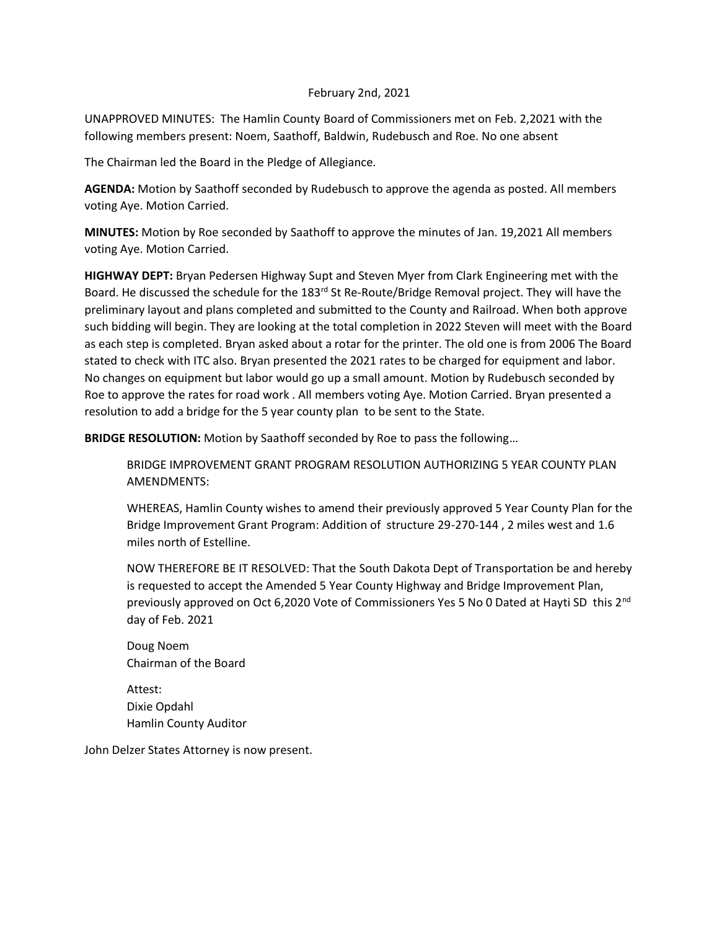## February 2nd, 2021

UNAPPROVED MINUTES: The Hamlin County Board of Commissioners met on Feb. 2,2021 with the following members present: Noem, Saathoff, Baldwin, Rudebusch and Roe. No one absent

The Chairman led the Board in the Pledge of Allegiance.

**AGENDA:** Motion by Saathoff seconded by Rudebusch to approve the agenda as posted. All members voting Aye. Motion Carried.

**MINUTES:** Motion by Roe seconded by Saathoff to approve the minutes of Jan. 19,2021 All members voting Aye. Motion Carried.

**HIGHWAY DEPT:** Bryan Pedersen Highway Supt and Steven Myer from Clark Engineering met with the Board. He discussed the schedule for the 183<sup>rd</sup> St Re-Route/Bridge Removal project. They will have the preliminary layout and plans completed and submitted to the County and Railroad. When both approve such bidding will begin. They are looking at the total completion in 2022 Steven will meet with the Board as each step is completed. Bryan asked about a rotar for the printer. The old one is from 2006 The Board stated to check with ITC also. Bryan presented the 2021 rates to be charged for equipment and labor. No changes on equipment but labor would go up a small amount. Motion by Rudebusch seconded by Roe to approve the rates for road work . All members voting Aye. Motion Carried. Bryan presented a resolution to add a bridge for the 5 year county plan to be sent to the State.

**BRIDGE RESOLUTION:** Motion by Saathoff seconded by Roe to pass the following…

BRIDGE IMPROVEMENT GRANT PROGRAM RESOLUTION AUTHORIZING 5 YEAR COUNTY PLAN AMENDMENTS:

WHEREAS, Hamlin County wishes to amend their previously approved 5 Year County Plan for the Bridge Improvement Grant Program: Addition of structure 29-270-144 , 2 miles west and 1.6 miles north of Estelline.

NOW THEREFORE BE IT RESOLVED: That the South Dakota Dept of Transportation be and hereby is requested to accept the Amended 5 Year County Highway and Bridge Improvement Plan, previously approved on Oct 6,2020 Vote of Commissioners Yes 5 No 0 Dated at Hayti SD this 2<sup>nd</sup> day of Feb. 2021

Doug Noem Chairman of the Board

Attest: Dixie Opdahl Hamlin County Auditor

John Delzer States Attorney is now present.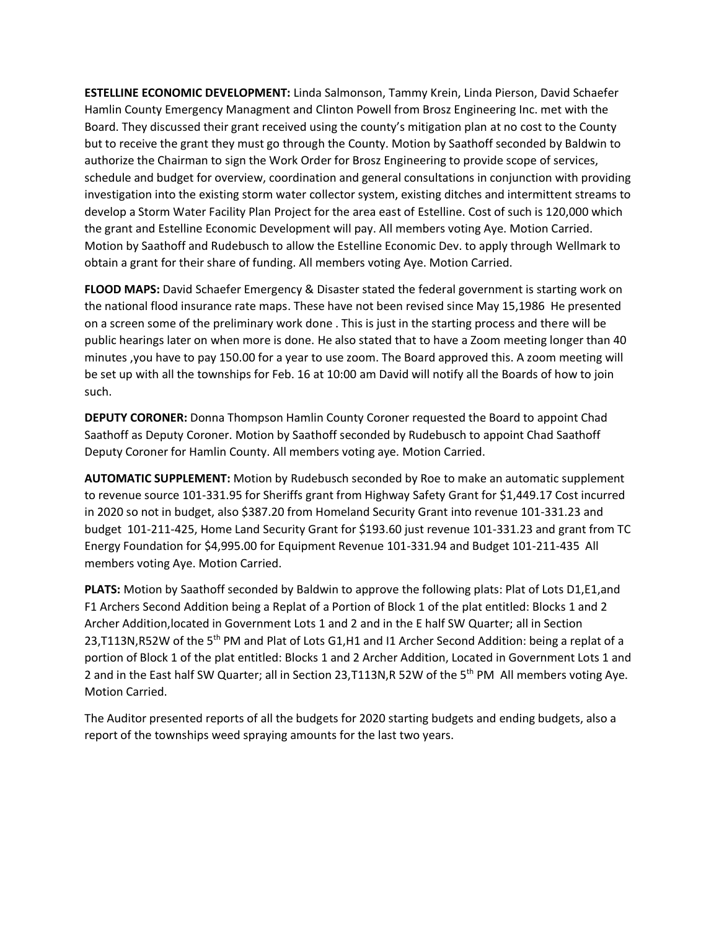**ESTELLINE ECONOMIC DEVELOPMENT:** Linda Salmonson, Tammy Krein, Linda Pierson, David Schaefer Hamlin County Emergency Managment and Clinton Powell from Brosz Engineering Inc. met with the Board. They discussed their grant received using the county's mitigation plan at no cost to the County but to receive the grant they must go through the County. Motion by Saathoff seconded by Baldwin to authorize the Chairman to sign the Work Order for Brosz Engineering to provide scope of services, schedule and budget for overview, coordination and general consultations in conjunction with providing investigation into the existing storm water collector system, existing ditches and intermittent streams to develop a Storm Water Facility Plan Project for the area east of Estelline. Cost of such is 120,000 which the grant and Estelline Economic Development will pay. All members voting Aye. Motion Carried. Motion by Saathoff and Rudebusch to allow the Estelline Economic Dev. to apply through Wellmark to obtain a grant for their share of funding. All members voting Aye. Motion Carried.

**FLOOD MAPS:** David Schaefer Emergency & Disaster stated the federal government is starting work on the national flood insurance rate maps. These have not been revised since May 15,1986 He presented on a screen some of the preliminary work done . This is just in the starting process and there will be public hearings later on when more is done. He also stated that to have a Zoom meeting longer than 40 minutes ,you have to pay 150.00 for a year to use zoom. The Board approved this. A zoom meeting will be set up with all the townships for Feb. 16 at 10:00 am David will notify all the Boards of how to join such.

**DEPUTY CORONER:** Donna Thompson Hamlin County Coroner requested the Board to appoint Chad Saathoff as Deputy Coroner. Motion by Saathoff seconded by Rudebusch to appoint Chad Saathoff Deputy Coroner for Hamlin County. All members voting aye. Motion Carried.

**AUTOMATIC SUPPLEMENT:** Motion by Rudebusch seconded by Roe to make an automatic supplement to revenue source 101-331.95 for Sheriffs grant from Highway Safety Grant for \$1,449.17 Cost incurred in 2020 so not in budget, also \$387.20 from Homeland Security Grant into revenue 101-331.23 and budget 101-211-425, Home Land Security Grant for \$193.60 just revenue 101-331.23 and grant from TC Energy Foundation for \$4,995.00 for Equipment Revenue 101-331.94 and Budget 101-211-435 All members voting Aye. Motion Carried.

**PLATS:** Motion by Saathoff seconded by Baldwin to approve the following plats: Plat of Lots D1,E1,and F1 Archers Second Addition being a Replat of a Portion of Block 1 of the plat entitled: Blocks 1 and 2 Archer Addition,located in Government Lots 1 and 2 and in the E half SW Quarter; all in Section 23,T113N,R52W of the 5<sup>th</sup> PM and Plat of Lots G1,H1 and I1 Archer Second Addition: being a replat of a portion of Block 1 of the plat entitled: Blocks 1 and 2 Archer Addition, Located in Government Lots 1 and 2 and in the East half SW Quarter; all in Section 23,T113N,R 52W of the 5th PM All members voting Aye. Motion Carried.

The Auditor presented reports of all the budgets for 2020 starting budgets and ending budgets, also a report of the townships weed spraying amounts for the last two years.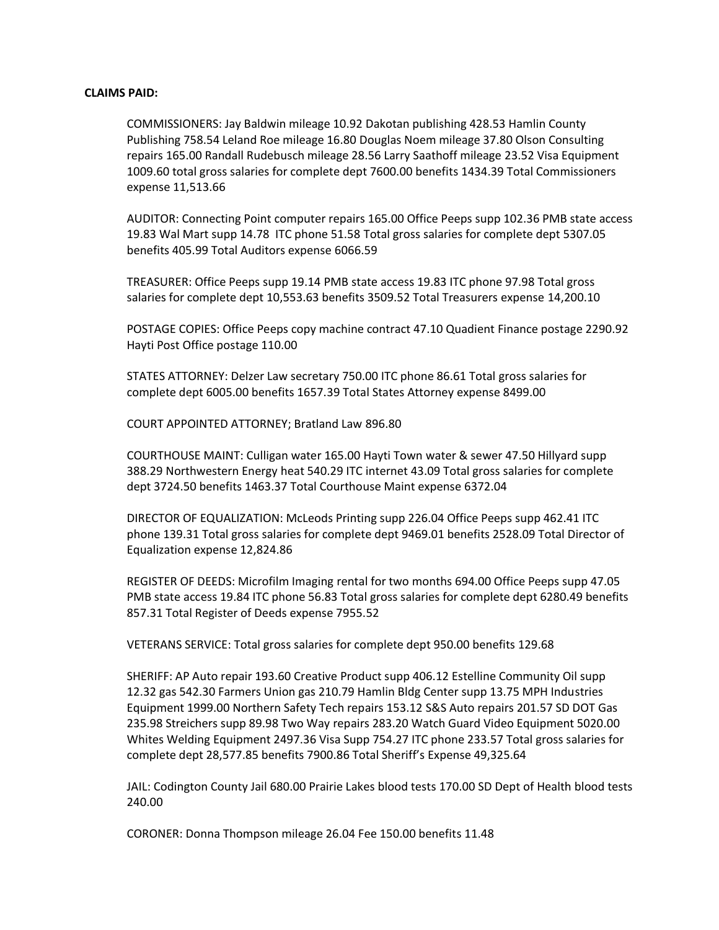## **CLAIMS PAID:**

COMMISSIONERS: Jay Baldwin mileage 10.92 Dakotan publishing 428.53 Hamlin County Publishing 758.54 Leland Roe mileage 16.80 Douglas Noem mileage 37.80 Olson Consulting repairs 165.00 Randall Rudebusch mileage 28.56 Larry Saathoff mileage 23.52 Visa Equipment 1009.60 total gross salaries for complete dept 7600.00 benefits 1434.39 Total Commissioners expense 11,513.66

AUDITOR: Connecting Point computer repairs 165.00 Office Peeps supp 102.36 PMB state access 19.83 Wal Mart supp 14.78 ITC phone 51.58 Total gross salaries for complete dept 5307.05 benefits 405.99 Total Auditors expense 6066.59

TREASURER: Office Peeps supp 19.14 PMB state access 19.83 ITC phone 97.98 Total gross salaries for complete dept 10,553.63 benefits 3509.52 Total Treasurers expense 14,200.10

POSTAGE COPIES: Office Peeps copy machine contract 47.10 Quadient Finance postage 2290.92 Hayti Post Office postage 110.00

STATES ATTORNEY: Delzer Law secretary 750.00 ITC phone 86.61 Total gross salaries for complete dept 6005.00 benefits 1657.39 Total States Attorney expense 8499.00

COURT APPOINTED ATTORNEY; Bratland Law 896.80

COURTHOUSE MAINT: Culligan water 165.00 Hayti Town water & sewer 47.50 Hillyard supp 388.29 Northwestern Energy heat 540.29 ITC internet 43.09 Total gross salaries for complete dept 3724.50 benefits 1463.37 Total Courthouse Maint expense 6372.04

DIRECTOR OF EQUALIZATION: McLeods Printing supp 226.04 Office Peeps supp 462.41 ITC phone 139.31 Total gross salaries for complete dept 9469.01 benefits 2528.09 Total Director of Equalization expense 12,824.86

REGISTER OF DEEDS: Microfilm Imaging rental for two months 694.00 Office Peeps supp 47.05 PMB state access 19.84 ITC phone 56.83 Total gross salaries for complete dept 6280.49 benefits 857.31 Total Register of Deeds expense 7955.52

VETERANS SERVICE: Total gross salaries for complete dept 950.00 benefits 129.68

SHERIFF: AP Auto repair 193.60 Creative Product supp 406.12 Estelline Community Oil supp 12.32 gas 542.30 Farmers Union gas 210.79 Hamlin Bldg Center supp 13.75 MPH Industries Equipment 1999.00 Northern Safety Tech repairs 153.12 S&S Auto repairs 201.57 SD DOT Gas 235.98 Streichers supp 89.98 Two Way repairs 283.20 Watch Guard Video Equipment 5020.00 Whites Welding Equipment 2497.36 Visa Supp 754.27 ITC phone 233.57 Total gross salaries for complete dept 28,577.85 benefits 7900.86 Total Sheriff's Expense 49,325.64

JAIL: Codington County Jail 680.00 Prairie Lakes blood tests 170.00 SD Dept of Health blood tests 240.00

CORONER: Donna Thompson mileage 26.04 Fee 150.00 benefits 11.48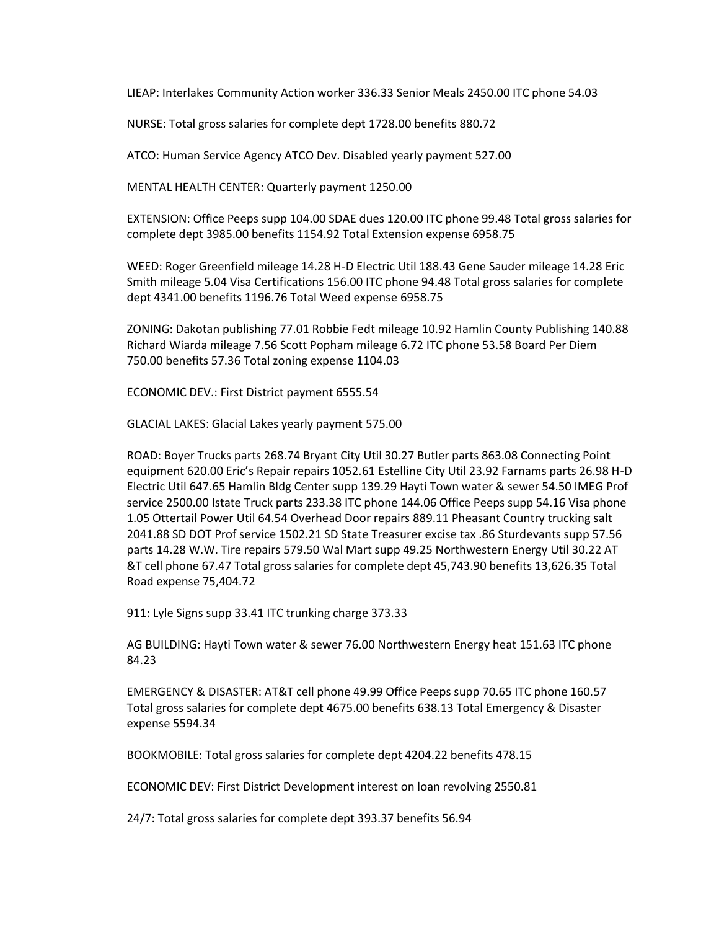LIEAP: Interlakes Community Action worker 336.33 Senior Meals 2450.00 ITC phone 54.03

NURSE: Total gross salaries for complete dept 1728.00 benefits 880.72

ATCO: Human Service Agency ATCO Dev. Disabled yearly payment 527.00

MENTAL HEALTH CENTER: Quarterly payment 1250.00

EXTENSION: Office Peeps supp 104.00 SDAE dues 120.00 ITC phone 99.48 Total gross salaries for complete dept 3985.00 benefits 1154.92 Total Extension expense 6958.75

WEED: Roger Greenfield mileage 14.28 H-D Electric Util 188.43 Gene Sauder mileage 14.28 Eric Smith mileage 5.04 Visa Certifications 156.00 ITC phone 94.48 Total gross salaries for complete dept 4341.00 benefits 1196.76 Total Weed expense 6958.75

ZONING: Dakotan publishing 77.01 Robbie Fedt mileage 10.92 Hamlin County Publishing 140.88 Richard Wiarda mileage 7.56 Scott Popham mileage 6.72 ITC phone 53.58 Board Per Diem 750.00 benefits 57.36 Total zoning expense 1104.03

ECONOMIC DEV.: First District payment 6555.54

GLACIAL LAKES: Glacial Lakes yearly payment 575.00

ROAD: Boyer Trucks parts 268.74 Bryant City Util 30.27 Butler parts 863.08 Connecting Point equipment 620.00 Eric's Repair repairs 1052.61 Estelline City Util 23.92 Farnams parts 26.98 H-D Electric Util 647.65 Hamlin Bldg Center supp 139.29 Hayti Town water & sewer 54.50 IMEG Prof service 2500.00 Istate Truck parts 233.38 ITC phone 144.06 Office Peeps supp 54.16 Visa phone 1.05 Ottertail Power Util 64.54 Overhead Door repairs 889.11 Pheasant Country trucking salt 2041.88 SD DOT Prof service 1502.21 SD State Treasurer excise tax .86 Sturdevants supp 57.56 parts 14.28 W.W. Tire repairs 579.50 Wal Mart supp 49.25 Northwestern Energy Util 30.22 AT &T cell phone 67.47 Total gross salaries for complete dept 45,743.90 benefits 13,626.35 Total Road expense 75,404.72

911: Lyle Signs supp 33.41 ITC trunking charge 373.33

AG BUILDING: Hayti Town water & sewer 76.00 Northwestern Energy heat 151.63 ITC phone 84.23

EMERGENCY & DISASTER: AT&T cell phone 49.99 Office Peeps supp 70.65 ITC phone 160.57 Total gross salaries for complete dept 4675.00 benefits 638.13 Total Emergency & Disaster expense 5594.34

BOOKMOBILE: Total gross salaries for complete dept 4204.22 benefits 478.15

ECONOMIC DEV: First District Development interest on loan revolving 2550.81

24/7: Total gross salaries for complete dept 393.37 benefits 56.94